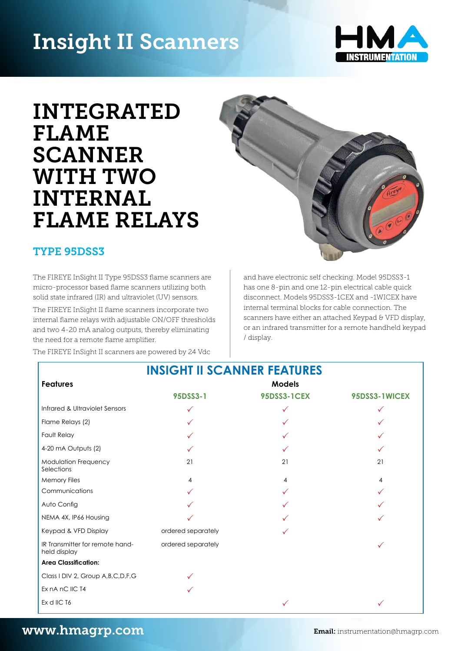# Insight II Scanners



# INTEGRATED FLAME **SCANNER** WITH TWO INTERNAL FLAME RELAYS **cannot**

## TYPE 95DSS3

The FIREYE InSight II Type 95DSS3 flame scanners are micro-processor based flame scanners utilizing both solid state infrared (IR) and ultraviolet (UV) sensors.

The FIREYE InSight II flame scanners incorporate two internal flame relays with adjustable ON/OFF thresholds and two 4-20 mA analog outputs, thereby eliminating the need for a remote flame amplifier.

The FIREYE InSight II scanners are powered by 24 Vdc Flame Relays (2) P P P



and have electronic self checking. Model 95DSS3-1 has one 8-pin and one 12-pin electrical cable quick<br>*Alma* should Madele SEDSSZ 19EW and 4WIGEWhat disconnect. Models 95DSS3-1CEX and -1WICEX have models 33DBS3-1021 and **Models and Homes and have electronic self check**ing. Models **and the self check**ing. The scanners have either an attached Keypad & VFD display, or an infrared transmitter for a remote handheld keypad / display. Infrared & Ultraviolet Sensors P P P nd have electronic self checking. Mod  $n_{\rm eff}$  derrittinal plocks for cable conflection. The scanners have either an attached Keypad & VFD display, or an infrared transmitted transmitted transmitted transmitted transmitted transmitted transmitted transmitted transmitted transmitted transmitted transmitted transmitted transmitted transmitted transmitted transmitt

|                                                 | <b>INSIGHT II SCANNER FEATURES</b> |                    |               |
|-------------------------------------------------|------------------------------------|--------------------|---------------|
| <b>Features</b>                                 | Models                             |                    |               |
|                                                 | 95DSS3-1                           | <b>95DSS3-1CEX</b> | 95DSS3-1WICEX |
| Infrared & Ultraviolet Sensors                  | ✓                                  |                    | $\checkmark$  |
| Flame Relays (2)                                |                                    |                    |               |
| Fault Relay                                     |                                    |                    |               |
| 4-20 mA Outputs (2)                             |                                    |                    |               |
| Modulation Frequency<br>Selections              | 21                                 | 21                 | 21            |
| <b>Memory Files</b>                             |                                    |                    | 4             |
| Communications                                  |                                    |                    |               |
| Auto Config                                     |                                    |                    |               |
| NEMA 4X, IP66 Housing                           |                                    |                    |               |
| Keypad & VFD Display                            | ordered separately                 |                    |               |
| IR Transmitter for remote hand-<br>held display | ordered separately                 |                    |               |
| <b>Area Classification:</b>                     |                                    |                    |               |
| Class I DIV 2, Group A, B, C, D, F, G           |                                    |                    |               |
| Ex nA nC IIC T4                                 |                                    |                    |               |
| Ex d IIC T6                                     |                                    |                    |               |